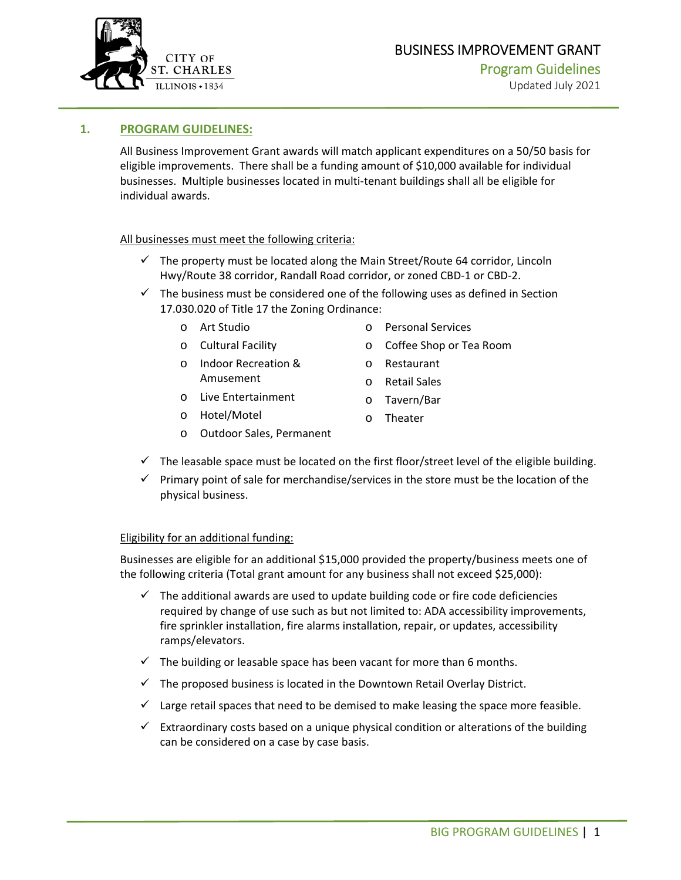

#### **1. PROGRAM GUIDELINES:**

All Business Improvement Grant awards will match applicant expenditures on a 50/50 basis for eligible improvements. There shall be a funding amount of \$10,000 available for individual businesses. Multiple businesses located in multi‐tenant buildings shall all be eligible for individual awards.

#### All businesses must meet the following criteria:

- $\checkmark$  The property must be located along the Main Street/Route 64 corridor, Lincoln Hwy/Route 38 corridor, Randall Road corridor, or zoned CBD‐1 or CBD‐2.
- $\checkmark$  The business must be considered one of the following uses as defined in Section 17.030.020 of Title 17 the Zoning Ordinance:
	- o Art Studio
	- o Cultural Facility
	- o Indoor Recreation & Amusement
	- o Live Entertainment
	- o Hotel/Motel
- o Personal Services
- o Coffee Shop or Tea Room
- o Restaurant
- o Retail Sales
- o Tavern/Bar
- o Theater
- o Outdoor Sales, Permanent
- $\checkmark$  The leasable space must be located on the first floor/street level of the eligible building.
- $\checkmark$  Primary point of sale for merchandise/services in the store must be the location of the physical business.

#### Eligibility for an additional funding:

Businesses are eligible for an additional \$15,000 provided the property/business meets one of the following criteria (Total grant amount for any business shall not exceed \$25,000):

- $\checkmark$  The additional awards are used to update building code or fire code deficiencies required by change of use such as but not limited to: ADA accessibility improvements, fire sprinkler installation, fire alarms installation, repair, or updates, accessibility ramps/elevators.
- $\checkmark$  The building or leasable space has been vacant for more than 6 months.
- $\checkmark$  The proposed business is located in the Downtown Retail Overlay District.
- $\checkmark$  Large retail spaces that need to be demised to make leasing the space more feasible.
- $\checkmark$  Extraordinary costs based on a unique physical condition or alterations of the building can be considered on a case by case basis.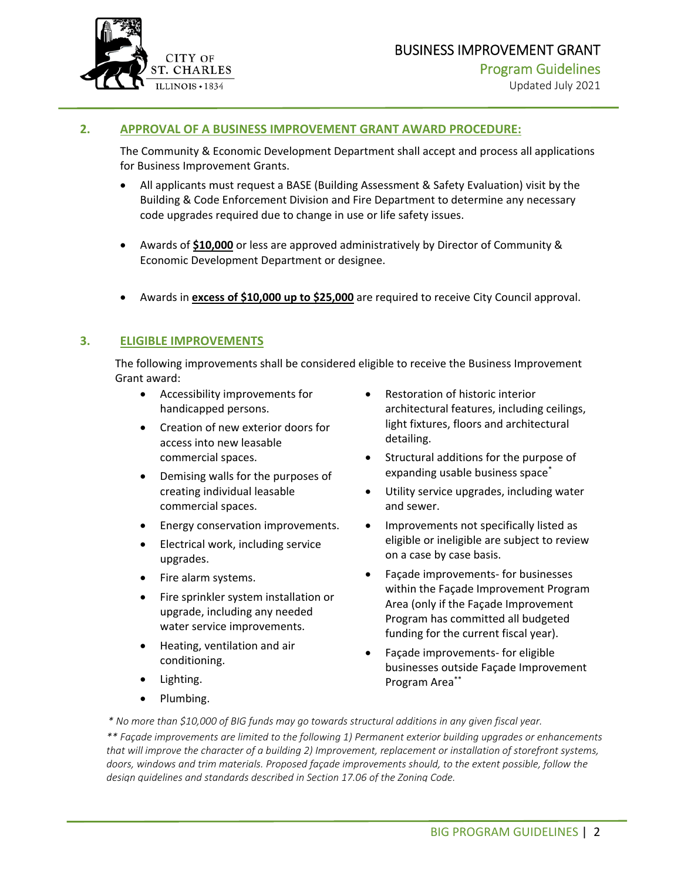

#### **2. APPROVAL OF A BUSINESS IMPROVEMENT GRANT AWARD PROCEDURE:**

The Community & Economic Development Department shall accept and process all applications for Business Improvement Grants.

- All applicants must request a BASE (Building Assessment & Safety Evaluation) visit by the Building & Code Enforcement Division and Fire Department to determine any necessary code upgrades required due to change in use or life safety issues.
- Awards of **\$10,000** or less are approved administratively by Director of Community & Economic Development Department or designee.
- Awards in **excess of \$10,000 up to \$25,000** are required to receive City Council approval.

#### **3. ELIGIBLE IMPROVEMENTS**

The following improvements shall be considered eligible to receive the Business Improvement Grant award:

- Accessibility improvements for handicapped persons.
- Creation of new exterior doors for access into new leasable commercial spaces.
- Demising walls for the purposes of creating individual leasable commercial spaces.
- **•** Energy conservation improvements.
- Electrical work, including service upgrades.
- Fire alarm systems.
- Fire sprinkler system installation or upgrade, including any needed water service improvements.
- Heating, ventilation and air conditioning.
- Lighting.
- Plumbing.
- Restoration of historic interior architectural features, including ceilings, light fixtures, floors and architectural detailing.
- Structural additions for the purpose of expanding usable business space<sup>\*</sup>
- Utility service upgrades, including water and sewer.
- Improvements not specifically listed as eligible or ineligible are subject to review on a case by case basis.
- Façade improvements‐ for businesses within the Façade Improvement Program Area (only if the Façade Improvement Program has committed all budgeted funding for the current fiscal year).
- Façade improvements‐ for eligible businesses outside Façade Improvement Program Area\*\*

*\* No more than \$10,000 of BIG funds may go towards structural additions in any given fiscal year.*

*\*\* Façade improvements are limited to the following 1) Permanent exterior building upgrades or enhancements that will improve the character of a building 2) Improvement, replacement or installation of storefront systems, doors, windows and trim materials. Proposed façade improvements should, to the extent possible, follow the design guidelines and standards described in Section 17.06 of the Zoning Code.*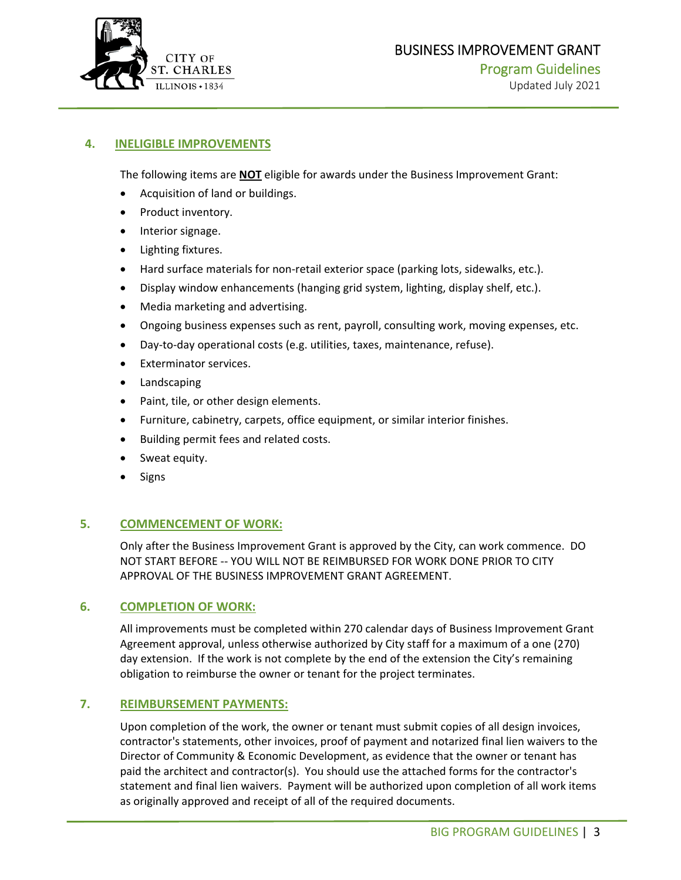

## BUSINESS IMPROVEMENT GRANT Program Guidelines

#### **4. INELIGIBLE IMPROVEMENTS**

The following items are **NOT** eligible for awards under the Business Improvement Grant:

- Acquisition of land or buildings.
- Product inventory.
- Interior signage.
- Lighting fixtures.
- Hard surface materials for non-retail exterior space (parking lots, sidewalks, etc.).
- Display window enhancements (hanging grid system, lighting, display shelf, etc.).
- Media marketing and advertising.
- Ongoing business expenses such as rent, payroll, consulting work, moving expenses, etc.
- Day-to-day operational costs (e.g. utilities, taxes, maintenance, refuse).
- Exterminator services.
- Landscaping
- Paint, tile, or other design elements.
- Furniture, cabinetry, carpets, office equipment, or similar interior finishes.
- Building permit fees and related costs.
- Sweat equity.
- Signs

#### **5. COMMENCEMENT OF WORK:**

Only after the Business Improvement Grant is approved by the City, can work commence. DO NOT START BEFORE ‐‐ YOU WILL NOT BE REIMBURSED FOR WORK DONE PRIOR TO CITY APPROVAL OF THE BUSINESS IMPROVEMENT GRANT AGREEMENT.

#### **6. COMPLETION OF WORK:**

All improvements must be completed within 270 calendar days of Business Improvement Grant Agreement approval, unless otherwise authorized by City staff for a maximum of a one (270) day extension. If the work is not complete by the end of the extension the City's remaining obligation to reimburse the owner or tenant for the project terminates.

#### **7. REIMBURSEMENT PAYMENTS:**

Upon completion of the work, the owner or tenant must submit copies of all design invoices, contractor's statements, other invoices, proof of payment and notarized final lien waivers to the Director of Community & Economic Development, as evidence that the owner or tenant has paid the architect and contractor(s). You should use the attached forms for the contractor's statement and final lien waivers. Payment will be authorized upon completion of all work items as originally approved and receipt of all of the required documents.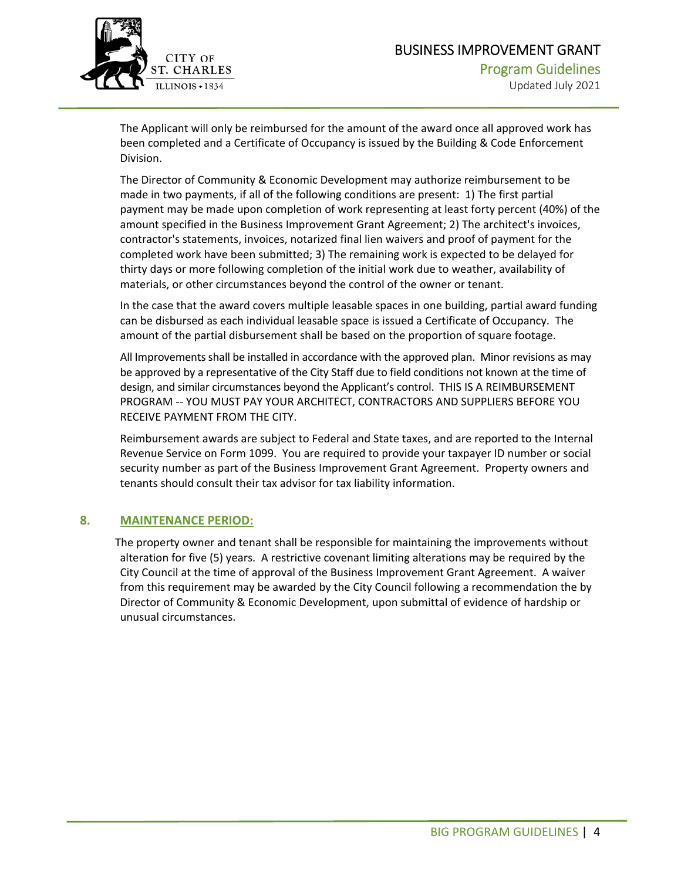

The Applicant will only be reimbursed for the amount of the award once all approved work has been completed and a Certificate of Occupancy is issued by the Building & Code Enforcement Division.

The Director of Community & Economic Development may authorize reimbursement to be made in two payments, if all of the following conditions are present: 1) The first partial payment may be made upon completion of work representing at least forty percent (40%) of the amount specified in the Business Improvement Grant Agreement; 2) The architect's invoices, contractor's statements, invoices, notarized final lien waivers and proof of payment for the completed work have been submitted; 3) The remaining work is expected to be delayed for thirty days or more following completion of the initial work due to weather, availability of materials, or other circumstances beyond the control of the owner or tenant.

In the case that the award covers multiple leasable spaces in one building, partial award funding can be disbursed as each individual leasable space is issued a Certificate of Occupancy. The amount of the partial disbursement shall be based on the proportion of square footage.

All Improvements shall be installed in accordance with the approved plan. Minor revisions as may be approved by a representative of the City Staff due to field conditions not known at the time of design, and similar circumstances beyond the Applicant's control. THIS IS A REIMBURSEMENT PROGRAM ‐‐ YOU MUST PAY YOUR ARCHITECT, CONTRACTORS AND SUPPLIERS BEFORE YOU RECEIVE PAYMENT FROM THE CITY.

Reimbursement awards are subject to Federal and State taxes, and are reported to the Internal Revenue Service on Form 1099. You are required to provide your taxpayer ID number or social security number as part of the Business Improvement Grant Agreement. Property owners and tenants should consult their tax advisor for tax liability information.

#### **8. MAINTENANCE PERIOD:**

 The property owner and tenant shall be responsible for maintaining the improvements without alteration for five (5) years. A restrictive covenant limiting alterations may be required by the City Council at the time of approval of the Business Improvement Grant Agreement. A waiver from this requirement may be awarded by the City Council following a recommendation the by Director of Community & Economic Development, upon submittal of evidence of hardship or unusual circumstances.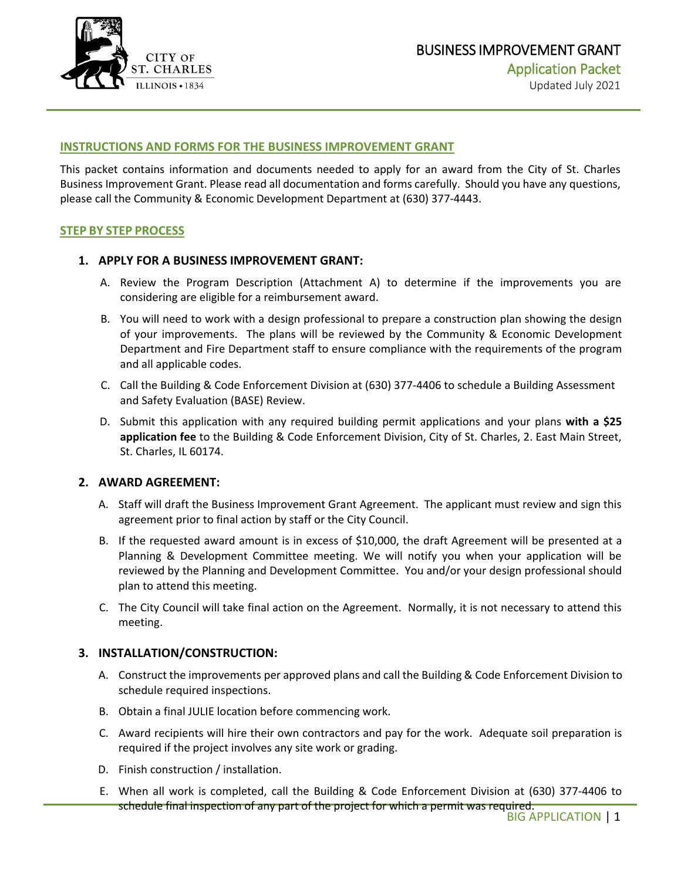

#### **INSTRUCTIONS AND FORMS FOR THE BUSINESS IMPROVEMENT GRANT**

This packet contains information and documents needed to apply for an award from the City of St. Charles Business Improvement Grant. Please read all documentation and forms carefully. Should you have any questions, please call the Community & Economic Development Department at (630) 377-4443.

#### **STEP BY STEP PROCESS**

#### **1. APPLY FOR A BUSINESS IMPROVEMENT GRANT:**

- A. Review the Program Description (Attachment A) to determine if the improvements you are considering are eligible for a reimbursement award.
- B. You will need to work with a design professional to prepare a construction plan showing the design of your improvements. The plans will be reviewed by the Community & Economic Development Department and Fire Department staff to ensure compliance with the requirements of the program and all applicable codes.
- C. Call the Building & Code Enforcement Division at (630) 377-4406 to schedule a Building Assessment and Safety Evaluation (BASE) Review.
- D. Submit this application with any required building permit applications and your plans **with a \$25 application fee** to the Building & Code Enforcement Division, City of St. Charles, 2. East Main Street, St. Charles, IL 60174.

#### **2. AWARD AGREEMENT:**

- A. Staff will draft the Business Improvement Grant Agreement. The applicant must review and sign this agreement prior to final action by staff or the City Council.
- B. If the requested award amount is in excess of \$10,000, the draft Agreement will be presented at a Planning & Development Committee meeting. We will notify you when your application will be reviewed by the Planning and Development Committee. You and/or your design professional should plan to attend this meeting.
- C. The City Council will take final action on the Agreement. Normally, it is not necessary to attend this meeting.

#### **3. INSTALLATION/CONSTRUCTION:**

- A. Construct the improvements per approved plans and call the Building & Code Enforcement Division to schedule required inspections.
- B. Obtain a final JULIE location before commencing work.
- C. Award recipients will hire their own contractors and pay for the work. Adequate soil preparation is required if the project involves any site work or grading.
- D. Finish construction / installation.
- E. When all work is completed, call the Building & Code Enforcement Division at (630) 377-4406 to schedule final inspection of any part of the project for which a permit was required.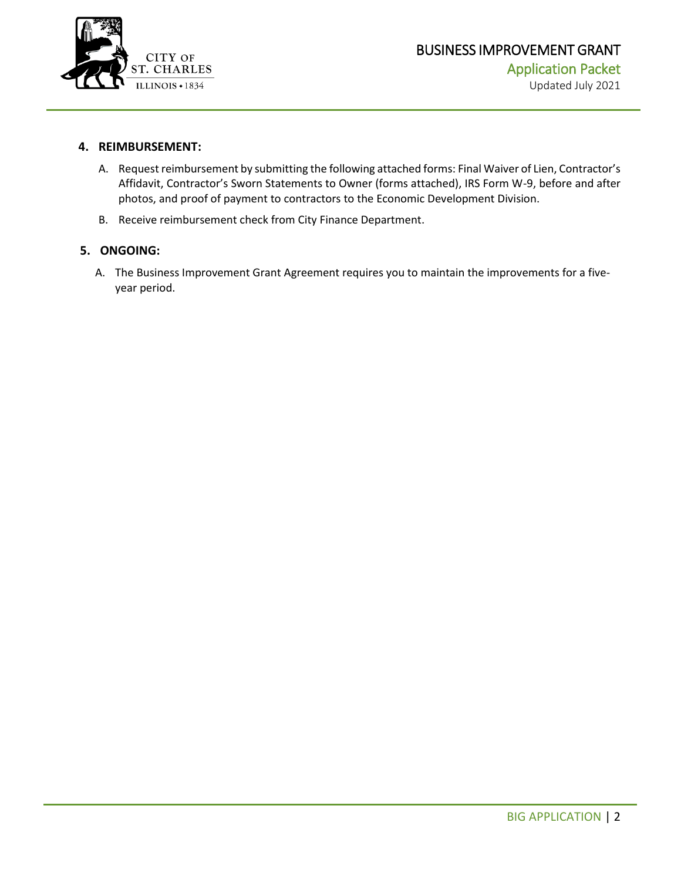

#### **4. REIMBURSEMENT:**

- A. Request reimbursement by submitting the following attached forms: Final Waiver of Lien, Contractor's Affidavit, Contractor's Sworn Statements to Owner (forms attached), IRS Form W-9, before and after photos, and proof of payment to contractors to the Economic Development Division.
- B. Receive reimbursement check from City Finance Department.

#### **5. ONGOING:**

A. The Business Improvement Grant Agreement requires you to maintain the improvements for a fiveyear period.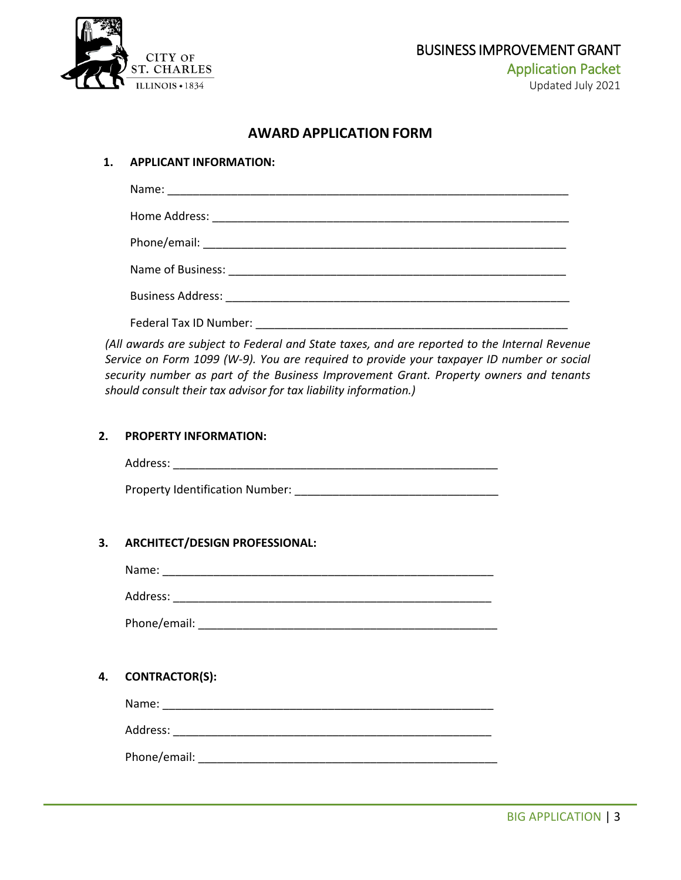

### **AWARD APPLICATION FORM**

#### **1. APPLICANT INFORMATION:**

*(All awards are subject to Federal and State taxes, and are reported to the Internal Revenue Service on Form 1099 (W-9). You are required to provide your taxpayer ID number or social security number as part of the Business Improvement Grant. Property owners and tenants should consult their tax advisor for tax liability information.)*

#### **2. PROPERTY INFORMATION:**

Address: \_\_\_\_\_\_\_\_\_\_\_\_\_\_\_\_\_\_\_\_\_\_\_\_\_\_\_\_\_\_\_\_\_\_\_\_\_\_\_\_\_\_\_\_\_\_\_\_\_\_\_

Property Identification Number: \_\_\_\_\_\_\_\_\_\_\_\_\_\_\_\_\_\_\_\_\_\_\_\_\_\_\_\_\_\_\_\_

#### **3. ARCHITECT/DESIGN PROFESSIONAL:**

Name: \_\_\_\_\_\_\_\_\_\_\_\_\_\_\_\_\_\_\_\_\_\_\_\_\_\_\_\_\_\_\_\_\_\_\_\_\_\_\_\_\_\_\_\_\_\_\_\_\_\_\_\_

Address: \_\_\_\_\_\_\_\_\_\_\_\_\_\_\_\_\_\_\_\_\_\_\_\_\_\_\_\_\_\_\_\_\_\_\_\_\_\_\_\_\_\_\_\_\_\_\_\_\_\_

Phone/email: \_\_\_\_\_\_\_\_\_\_\_\_\_\_\_\_\_\_\_\_\_\_\_\_\_\_\_\_\_\_\_\_\_\_\_\_\_\_\_\_\_\_\_\_\_\_\_

#### **4. CONTRACTOR(S):**

Name: \_\_\_\_\_\_\_\_\_\_\_\_\_\_\_\_\_\_\_\_\_\_\_\_\_\_\_\_\_\_\_\_\_\_\_\_\_\_\_\_\_\_\_\_\_\_\_\_\_\_\_\_

Address: \_\_\_\_\_\_\_\_\_\_\_\_\_\_\_\_\_\_\_\_\_\_\_\_\_\_\_\_\_\_\_\_\_\_\_\_\_\_\_\_\_\_\_\_\_\_\_\_\_\_

Phone/email: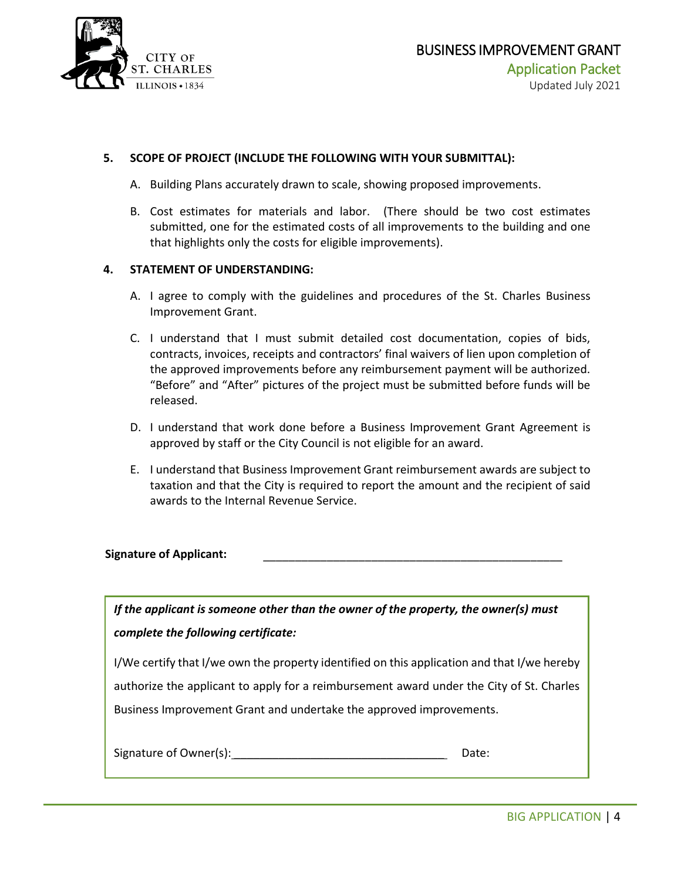

#### **5. SCOPE OF PROJECT (INCLUDE THE FOLLOWING WITH YOUR SUBMITTAL):**

- A. Building Plans accurately drawn to scale, showing proposed improvements.
- B. Cost estimates for materials and labor. (There should be two cost estimates submitted, one for the estimated costs of all improvements to the building and one that highlights only the costs for eligible improvements).

#### **4. STATEMENT OF UNDERSTANDING:**

- A. I agree to comply with the guidelines and procedures of the St. Charles Business Improvement Grant.
- C. I understand that I must submit detailed cost documentation, copies of bids, contracts, invoices, receipts and contractors' final waivers of lien upon completion of the approved improvements before any reimbursement payment will be authorized. "Before" and "After" pictures of the project must be submitted before funds will be released.
- D. I understand that work done before a Business Improvement Grant Agreement is approved by staff or the City Council is not eligible for an award.
- E. I understand that Business Improvement Grant reimbursement awards are subject to taxation and that the City is required to report the amount and the recipient of said awards to the Internal Revenue Service.

#### Signature of Applicant:

*If the applicant is someone other than the owner of the property, the owner(s) must complete the following certificate:*

I/We certify that I/we own the property identified on this application and that I/we hereby authorize the applicant to apply for a reimbursement award under the City of St. Charles Business Improvement Grant and undertake the approved improvements.

| Signature of Owner(s): | Date: |
|------------------------|-------|
|------------------------|-------|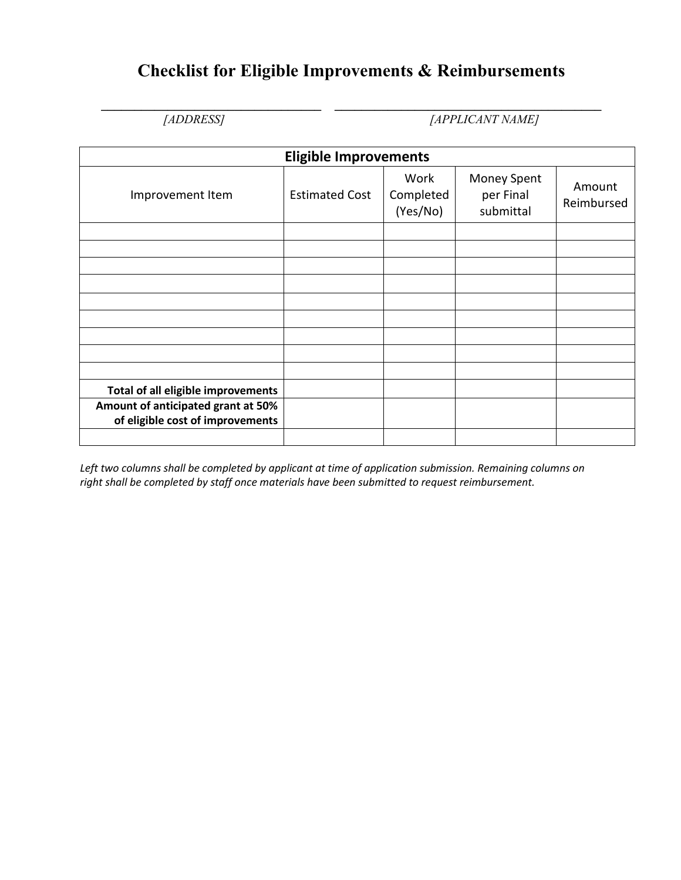# **Checklist for Eligible Improvements & Reimbursements**

**\_\_\_\_\_\_\_\_\_\_\_\_\_\_\_\_\_\_\_\_\_\_\_\_\_\_\_\_\_\_\_\_\_ \_\_\_\_\_\_\_\_\_\_\_\_\_\_\_\_\_\_\_\_\_\_\_\_\_\_\_\_\_\_\_\_\_\_\_\_\_\_\_\_** *[ADDRESS] [APPLICANT NAME]* 

|                                                                        | <b>Eligible Improvements</b> |                               |                                              |                      |
|------------------------------------------------------------------------|------------------------------|-------------------------------|----------------------------------------------|----------------------|
| Improvement Item                                                       | <b>Estimated Cost</b>        | Work<br>Completed<br>(Yes/No) | <b>Money Spent</b><br>per Final<br>submittal | Amount<br>Reimbursed |
|                                                                        |                              |                               |                                              |                      |
|                                                                        |                              |                               |                                              |                      |
|                                                                        |                              |                               |                                              |                      |
|                                                                        |                              |                               |                                              |                      |
|                                                                        |                              |                               |                                              |                      |
|                                                                        |                              |                               |                                              |                      |
|                                                                        |                              |                               |                                              |                      |
|                                                                        |                              |                               |                                              |                      |
|                                                                        |                              |                               |                                              |                      |
| Total of all eligible improvements                                     |                              |                               |                                              |                      |
| Amount of anticipated grant at 50%<br>of eligible cost of improvements |                              |                               |                                              |                      |
|                                                                        |                              |                               |                                              |                      |

*Left two columns shall be completed by applicant at time of application submission. Remaining columns on right shall be completed by staff once materials have been submitted to request reimbursement.*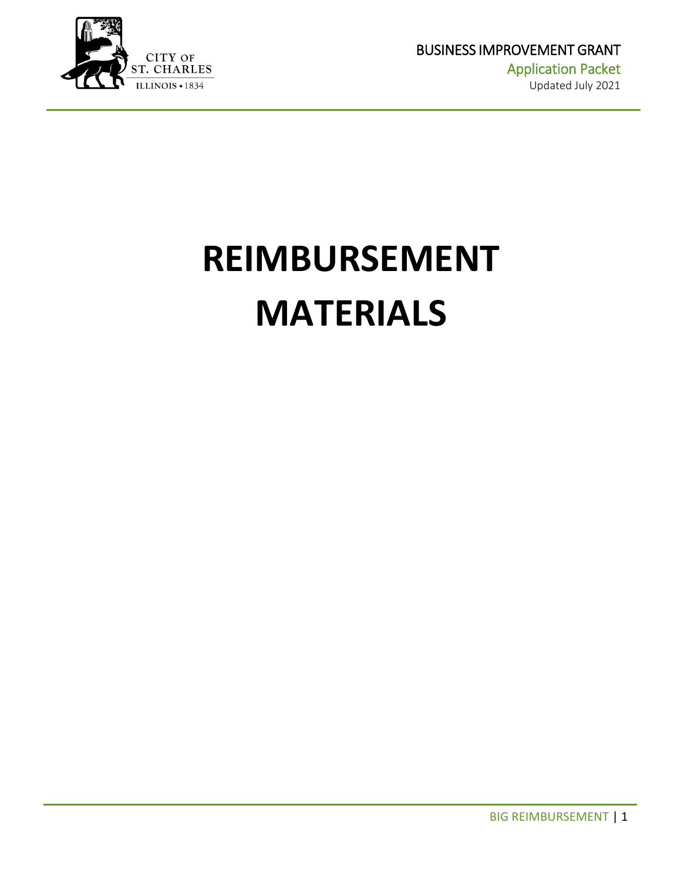

# **REIMBURSEMENT MATERIALS**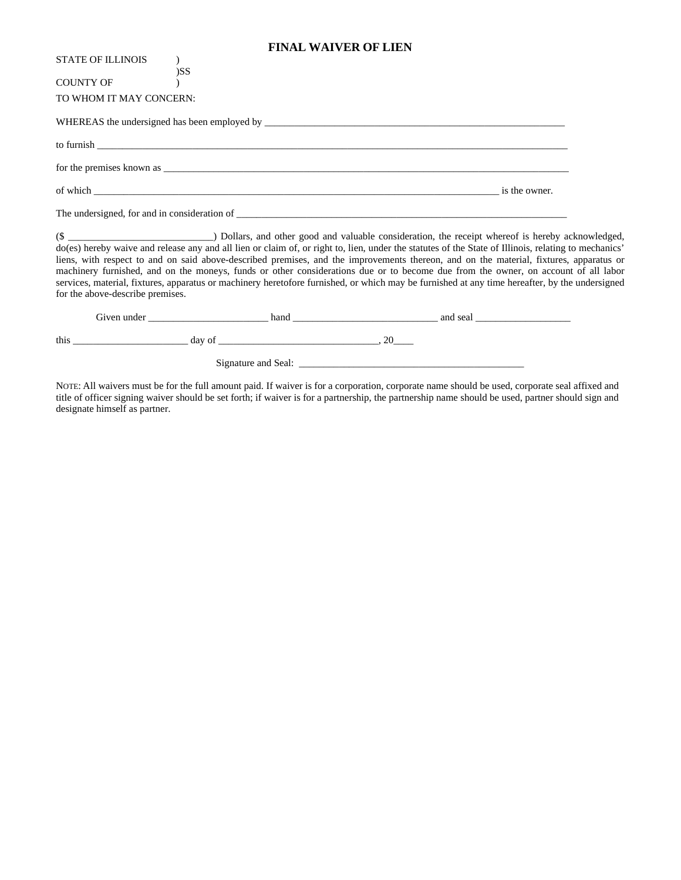#### **FINAL WAIVER OF LIEN**

| STATE OF ILLINOIS       |                                                                                                                                                                                                                                                                        |  |
|-------------------------|------------------------------------------------------------------------------------------------------------------------------------------------------------------------------------------------------------------------------------------------------------------------|--|
| COUNTY OF               | )SS                                                                                                                                                                                                                                                                    |  |
| TO WHOM IT MAY CONCERN: |                                                                                                                                                                                                                                                                        |  |
|                         |                                                                                                                                                                                                                                                                        |  |
|                         |                                                                                                                                                                                                                                                                        |  |
|                         |                                                                                                                                                                                                                                                                        |  |
|                         | of which some state of which states are the owner.                                                                                                                                                                                                                     |  |
|                         |                                                                                                                                                                                                                                                                        |  |
|                         | do(es) hereby waive and release any and all lien or claim of, or right to, lien, under the statutes of the State of Illinois, relating t<br>liang with nonport to and an original obove described numicas, and the immuovements thereon, and an the metanial firtunes. |  |

acknowledged,<br>to mechanics' do(es) hereby waive and release any and all lien or claim of, or right to, lien, under the statutes of the State of Illinois, relating to mechanics' liens, with respect to and on said above-described premises, and the improvements thereon, and on the material, fixtures, apparatus or machinery furnished, and on the moneys, funds or other considerations due or to become due from the owner, on account of all labor services, material, fixtures, apparatus or machinery heretofore furnished, or which may be furnished at any time hereafter, by the undersigned for the above-describe premises.

|      | Given under |                     | hand | and seal |  |
|------|-------------|---------------------|------|----------|--|
| this |             | day of              |      |          |  |
|      |             | Signature and Seal: |      |          |  |

NOTE: All waivers must be for the full amount paid. If waiver is for a corporation, corporate name should be used, corporate seal affixed and title of officer signing waiver should be set forth; if waiver is for a partnership, the partnership name should be used, partner should sign and designate himself as partner.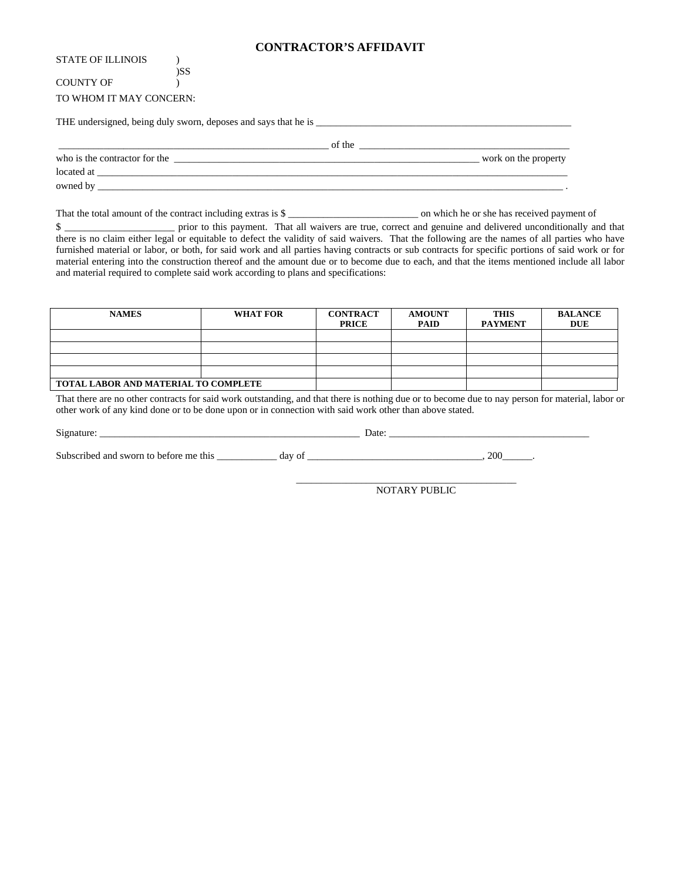#### **CONTRACTOR'S AFFIDAVIT**

#### )SS COUNTY OF (2) TO WHOM IT MAY CONCERN:

THE undersigned, being duly sworn, deposes and says that he is \_\_\_\_\_\_\_\_\_\_\_\_\_\_\_\_\_\_\_\_\_\_\_\_\_\_\_\_\_\_\_\_\_\_\_\_\_\_\_\_\_\_\_\_\_\_\_\_\_\_\_

\_\_\_\_\_\_\_\_\_\_\_\_\_\_\_\_\_\_\_\_\_\_\_\_\_\_\_\_\_\_\_\_\_\_\_\_\_\_\_\_\_\_\_\_\_\_\_\_\_\_\_\_\_\_ of the \_\_\_\_\_\_\_\_\_\_\_\_\_\_\_\_\_\_\_\_\_\_\_\_\_\_\_\_\_\_\_\_\_\_\_\_\_\_\_\_\_\_

who is the contractor for the \_\_\_\_\_\_\_\_\_\_\_\_\_\_\_\_\_\_\_\_\_\_\_\_\_\_\_\_\_\_\_\_\_\_\_\_\_\_\_\_\_\_\_\_\_\_\_\_\_\_\_\_\_\_\_\_\_\_\_\_\_ work on the property

located at \_\_\_\_\_\_\_\_\_\_\_\_\_\_\_\_\_\_\_\_\_\_\_\_\_\_\_\_\_\_\_\_\_\_\_\_\_\_\_\_\_\_\_\_\_\_\_\_\_\_\_\_\_\_\_\_\_\_\_\_\_\_\_\_\_\_\_\_\_\_\_\_\_\_\_\_\_\_\_\_\_\_\_\_\_\_\_\_\_\_\_\_\_\_

owned by \_\_\_\_\_\_\_\_\_\_\_\_\_\_\_\_\_\_\_\_\_\_\_\_\_\_\_\_\_\_\_\_\_\_\_\_\_\_\_\_\_\_\_\_\_\_\_\_\_\_\_\_\_\_\_\_\_\_\_\_\_\_\_\_\_\_\_\_\_\_\_\_\_\_\_\_\_\_\_\_\_\_\_\_\_\_\_\_\_\_\_\_\_ .

That the total amount of the contract including extras is \$

\$ there is no claim either legal or equitable to defect the validity of said waivers. That the following are the names of all parties who have furnished material or labor, or both, for said work and all parties having contracts or sub contracts for specific portions of said work or for material entering into the construction thereof and the amount due or to become due to each, and that the items mentioned include all labor and material required to complete said work according to plans and specifications:

| <b>NAMES</b>                         | <b>WHAT FOR</b> | <b>CONTRACT</b><br><b>PRICE</b> | <b>AMOUNT</b><br><b>PAID</b> | <b>THIS</b><br><b>PAYMENT</b> | <b>BALANCE</b><br><b>DUE</b> |
|--------------------------------------|-----------------|---------------------------------|------------------------------|-------------------------------|------------------------------|
|                                      |                 |                                 |                              |                               |                              |
|                                      |                 |                                 |                              |                               |                              |
|                                      |                 |                                 |                              |                               |                              |
|                                      |                 |                                 |                              |                               |                              |
| TOTAL LABOR AND MATERIAL TO COMPLETE |                 |                                 |                              |                               |                              |

That there are no other contracts for said work outstanding, and that there is nothing due or to become due to nay person for material, labor or other work of any kind done or to be done upon or in connection with said work other than above stated.

| $\mathbf{C}$ :<br>$-102$<br>້                  | Jate     |          |
|------------------------------------------------|----------|----------|
|                                                |          |          |
| $S_{11}$ <sub>b</sub><br>$\sim$ 40<br>CUV<br>. | da<br>IJ | $\gamma$ |

 $\_$ NOTARY PUBLIC